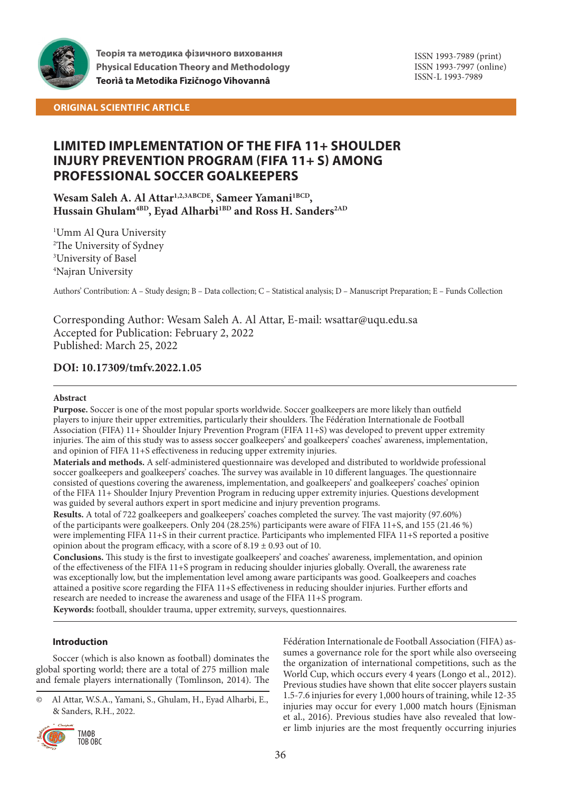

**ORIGINAL SCIENTIFIC ARTICLE**

# **LIMITED IMPLEMENTATION OF THE FIFA 11+ SHOULDER INJURY PREVENTION PROGRAM (FIFA 11+ S) AMONG PROFESSIONAL SOCCER GOALKEEPERS**

## Wesam Saleh A. Al Attar<sup>1,2,3ABCDE</sup>, Sameer Yamani<sup>1BCD</sup>, Hussain Ghulam<sup>4BD</sup>, Eyad Alharbi<sup>1BD</sup> and Ross H. Sanders<sup>2AD</sup>

 Umm Al Qura University The University of Sydney University of Basel Najran University

Authors' Contribution: A – Study design; B – Data collection; C – Statistical analysis; D – Manuscript Preparation; E – Funds Collection

Corresponding Author: Wesam Saleh A. Al Attar, E-mail: wsattar@uqu.edu.sa Accepted for Publication: February 2, 2022 Published: March 25, 2022

### **DOI: 10.17309/tmfv.2022.1.05**

### **Abstract**

**Purpose.** Soccer is one of the most popular sports worldwide. Soccer goalkeepers are more likely than outfield players to injure their upper extremities, particularly their shoulders. The Fédération Internationale de Football Association (FIFA) 11+ Shoulder Injury Prevention Program (FIFA 11+S) was developed to prevent upper extremity injuries. The aim of this study was to assess soccer goalkeepers' and goalkeepers' coaches' awareness, implementation, and opinion of FIFA 11+S effectiveness in reducing upper extremity injuries.

**Materials and methods.** A self-administered questionnaire was developed and distributed to worldwide professional soccer goalkeepers and goalkeepers' coaches. The survey was available in 10 different languages. The questionnaire consisted of questions covering the awareness, implementation, and goalkeepers' and goalkeepers' coaches' opinion of the FIFA 11+ Shoulder Injury Prevention Program in reducing upper extremity injuries. Questions development was guided by several authors expert in sport medicine and injury prevention programs.

**Results.** A total of 722 goalkeepers and goalkeepers' coaches completed the survey. The vast majority (97.60%) of the participants were goalkeepers. Only 204 (28.25%) participants were aware of FIFA 11+S, and 155 (21.46 %) were implementing FIFA 11+S in their current practice. Participants who implemented FIFA 11+S reported a positive opinion about the program efficacy, with a score of  $8.19 \pm 0.93$  out of 10.

**Conclusions.** This study is the first to investigate goalkeepers' and coaches' awareness, implementation, and opinion of the effectiveness of the FIFA 11+S program in reducing shoulder injuries globally. Overall, the awareness rate was exceptionally low, but the implementation level among aware participants was good. Goalkeepers and coaches attained a positive score regarding the FIFA 11+S effectiveness in reducing shoulder injuries. Further efforts and research are needed to increase the awareness and usage of the FIFA 11+S program.

**Keywords:** football, shoulder trauma, upper extremity, surveys, questionnaires.

### **Introduction**

Soccer (which is also known as football) dominates the global sporting world; there are a total of 275 million male and female players internationally (Tomlinson, 2014). The

<sup>©</sup> Al Attar, W.S.A., Yamani, S., Ghulam, H., Eyad Alharbi, E., & Sanders, R.H., 2022.



Fédération Internationale de Football Association (FIFA) assumes a governance role for the sport while also overseeing the organization of international competitions, such as the World Cup, which occurs every 4 years (Longo et al., 2012). Previous studies have shown that elite soccer players sustain 1.5-7.6 injuries for every 1,000 hours of training, while 12-35 injuries may occur for every 1,000 match hours (Ejnisman et al., 2016). Previous studies have also revealed that lower limb injuries are the most frequently occurring injuries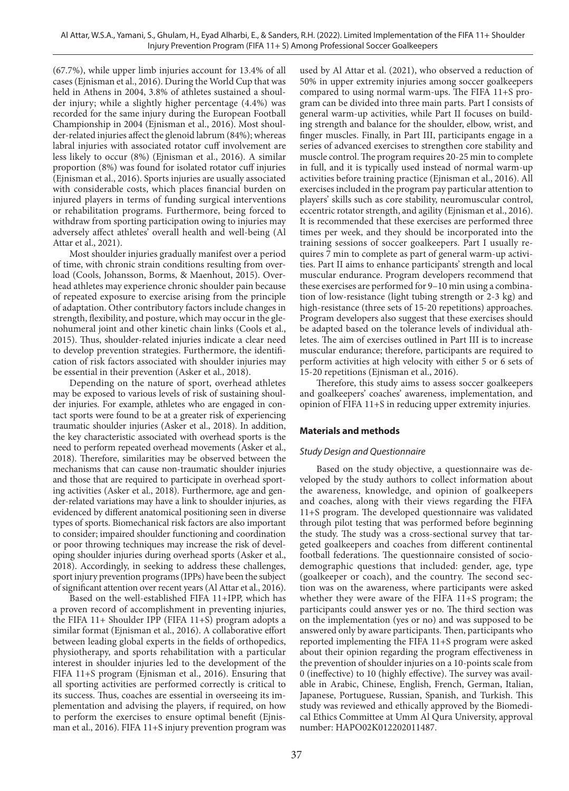(67.7%), while upper limb injuries account for 13.4% of all cases (Ejnisman et al., 2016). During the World Cup that was held in Athens in 2004, 3.8% of athletes sustained a shoulder injury; while a slightly higher percentage (4.4%) was recorded for the same injury during the European Football Championship in 2004 (Ejnisman et al., 2016). Most shoulder-related injuries affect the glenoid labrum (84%); whereas labral injuries with associated rotator cuff involvement are less likely to occur (8%) (Ejnisman et al., 2016). A similar proportion (8%) was found for isolated rotator cuff injuries (Ejnisman et al., 2016). Sports injuries are usually associated with considerable costs, which places financial burden on injured players in terms of funding surgical interventions or rehabilitation programs. Furthermore, being forced to withdraw from sporting participation owing to injuries may adversely affect athletes' overall health and well-being (Al Attar et al., 2021).

Most shoulder injuries gradually manifest over a period of time, with chronic strain conditions resulting from overload (Cools, Johansson, Borms, & Maenhout, 2015). Overhead athletes may experience chronic shoulder pain because of repeated exposure to exercise arising from the principle of adaptation. Other contributory factors include changes in strength, flexibility, and posture, which may occur in the glenohumeral joint and other kinetic chain links (Cools et al., 2015). Thus, shoulder-related injuries indicate a clear need to develop prevention strategies. Furthermore, the identification of risk factors associated with shoulder injuries may be essential in their prevention (Asker et al., 2018).

Depending on the nature of sport, overhead athletes may be exposed to various levels of risk of sustaining shoulder injuries. For example, athletes who are engaged in contact sports were found to be at a greater risk of experiencing traumatic shoulder injuries (Asker et al., 2018). In addition, the key characteristic associated with overhead sports is the need to perform repeated overhead movements (Asker et al., 2018). Therefore, similarities may be observed between the mechanisms that can cause non-traumatic shoulder injuries and those that are required to participate in overhead sporting activities (Asker et al., 2018). Furthermore, age and gender-related variations may have a link to shoulder injuries, as evidenced by different anatomical positioning seen in diverse types of sports. Biomechanical risk factors are also important to consider; impaired shoulder functioning and coordination or poor throwing techniques may increase the risk of developing shoulder injuries during overhead sports (Asker et al., 2018). Accordingly, in seeking to address these challenges, sport injury prevention programs (IPPs) have been the subject of significant attention over recent years (Al Attar et al., 2016).

Based on the well-established FIFA 11+IPP, which has a proven record of accomplishment in preventing injuries, the FIFA 11+ Shoulder IPP (FIFA 11+S) program adopts a similar format (Ejnisman et al., 2016). A collaborative effort between leading global experts in the fields of orthopedics, physiotherapy, and sports rehabilitation with a particular interest in shoulder injuries led to the development of the FIFA 11+S program (Ejnisman et al., 2016). Ensuring that all sporting activities are performed correctly is critical to its success. Thus, coaches are essential in overseeing its implementation and advising the players, if required, on how to perform the exercises to ensure optimal benefit (Ejnisman et al., 2016). FIFA 11+S injury prevention program was

used by Al Attar et al. (2021), who observed a reduction of 50% in upper extremity injuries among soccer goalkeepers compared to using normal warm-ups. The FIFA 11+S program can be divided into three main parts. Part I consists of general warm-up activities, while Part II focuses on building strength and balance for the shoulder, elbow, wrist, and finger muscles. Finally, in Part III, participants engage in a series of advanced exercises to strengthen core stability and muscle control. The program requires 20-25 min to complete in full, and it is typically used instead of normal warm-up activities before training practice (Ejnisman et al., 2016). All exercises included in the program pay particular attention to players' skills such as core stability, neuromuscular control, eccentric rotator strength, and agility (Ejnisman et al., 2016). It is recommended that these exercises are performed three times per week, and they should be incorporated into the training sessions of soccer goalkeepers. Part I usually requires 7 min to complete as part of general warm-up activities. Part II aims to enhance participants' strength and local muscular endurance. Program developers recommend that these exercises are performed for 9–10 min using a combination of low-resistance (light tubing strength or 2-3 kg) and high-resistance (three sets of 15-20 repetitions) approaches. Program developers also suggest that these exercises should be adapted based on the tolerance levels of individual athletes. The aim of exercises outlined in Part III is to increase muscular endurance; therefore, participants are required to perform activities at high velocity with either 5 or 6 sets of 15-20 repetitions (Ejnisman et al., 2016).

Therefore, this study aims to assess soccer goalkeepers and goalkeepers' coaches' awareness, implementation, and opinion of FIFA 11+S in reducing upper extremity injuries.

## **Materials and methods**

### *Study Design and Questionnaire*

Based on the study objective, a questionnaire was developed by the study authors to collect information about the awareness, knowledge, and opinion of goalkeepers and coaches, along with their views regarding the FIFA 11+S program. The developed questionnaire was validated through pilot testing that was performed before beginning the study. The study was a cross-sectional survey that targeted goalkeepers and coaches from different continental football federations. The questionnaire consisted of sociodemographic questions that included: gender, age, type (goalkeeper or coach), and the country. The second section was on the awareness, where participants were asked whether they were aware of the FIFA 11+S program; the participants could answer yes or no. The third section was on the implementation (yes or no) and was supposed to be answered only by aware participants. Then, participants who reported implementing the FIFA 11+S program were asked about their opinion regarding the program effectiveness in the prevention of shoulder injuries on a 10-points scale from 0 (ineffective) to 10 (highly effective). The survey was available in Arabic, Chinese, English, French, German, Italian, Japanese, Portuguese, Russian, Spanish, and Turkish. This study was reviewed and ethically approved by the Biomedical Ethics Committee at Umm Al Qura University, approval number: HAPO02K012202011487.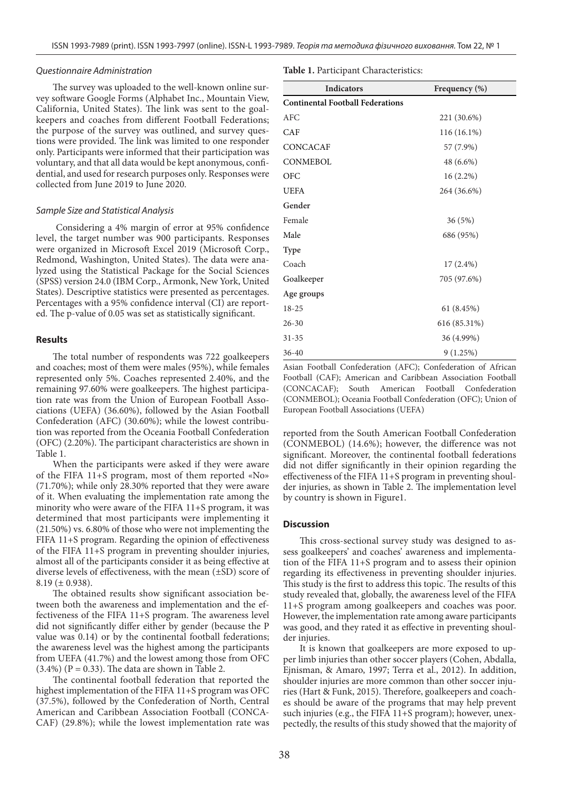#### *Questionnaire Administration*

The survey was uploaded to the well-known online survey software Google Forms (Alphabet Inc., Mountain View, California, United States). The link was sent to the goalkeepers and coaches from different Football Federations; the purpose of the survey was outlined, and survey questions were provided. The link was limited to one responder only. Participants were informed that their participation was voluntary, and that all data would be kept anonymous, confidential, and used for research purposes only. Responses were collected from June 2019 to June 2020.

#### *Sample Size and Statistical Analysis*

 Considering a 4% margin of error at 95% confidence level, the target number was 900 participants. Responses were organized in Microsoft Excel 2019 (Microsoft Corp., Redmond, Washington, United States). The data were analyzed using the Statistical Package for the Social Sciences (SPSS) version 24.0 (IBM Corp., Armonk, New York, United States). Descriptive statistics were presented as percentages. Percentages with a 95% confidence interval (CI) are reported. The p-value of 0.05 was set as statistically significant.

#### **Results**

The total number of respondents was 722 goalkeepers and coaches; most of them were males (95%), while females represented only 5%. Coaches represented 2.40%, and the remaining 97.60% were goalkeepers. The highest participation rate was from the Union of European Football Associations (UEFA) (36.60%), followed by the Asian Football Confederation (AFC) (30.60%); while the lowest contribution was reported from the Oceania Football Confederation (OFC) (2.20%). The participant characteristics are shown in Table 1.

When the participants were asked if they were aware of the FIFA 11+S program, most of them reported «No» (71.70%); while only 28.30% reported that they were aware of it. When evaluating the implementation rate among the minority who were aware of the FIFA 11+S program, it was determined that most participants were implementing it (21.50%) vs. 6.80% of those who were not implementing the FIFA 11+S program. Regarding the opinion of effectiveness of the FIFA 11+S program in preventing shoulder injuries, almost all of the participants consider it as being effective at diverse levels of effectiveness, with the mean (±SD) score of  $8.19 \ (\pm 0.938).$ 

The obtained results show significant association between both the awareness and implementation and the effectiveness of the FIFA 11+S program. The awareness level did not significantly differ either by gender (because the P value was 0.14) or by the continental football federations; the awareness level was the highest among the participants from UEFA (41.7%) and the lowest among those from OFC  $(3.4%) (P = 0.33)$ . The data are shown in Table 2.

The continental football federation that reported the highest implementation of the FIFA 11+S program was OFC (37.5%), followed by the Confederation of North, Central American and Caribbean Association Football (CONCA-CAF) (29.8%); while the lowest implementation rate was

| Table 1. Participant Characteristics: |
|---------------------------------------|
|---------------------------------------|

| <b>Indicators</b>                       | Frequency (%) |  |  |  |  |
|-----------------------------------------|---------------|--|--|--|--|
| <b>Continental Football Federations</b> |               |  |  |  |  |
| <b>AFC</b>                              | 221 (30.6%)   |  |  |  |  |
| <b>CAF</b>                              | 116 (16.1%)   |  |  |  |  |
| <b>CONCACAF</b>                         | 57 (7.9%)     |  |  |  |  |
| <b>CONMEBOL</b>                         | 48 (6.6%)     |  |  |  |  |
| <b>OFC</b>                              | $16(2.2\%)$   |  |  |  |  |
| <b>UEFA</b>                             | 264 (36.6%)   |  |  |  |  |
| Gender                                  |               |  |  |  |  |
| Female                                  | 36(5%)        |  |  |  |  |
| Male                                    | 686 (95%)     |  |  |  |  |
| <b>Type</b>                             |               |  |  |  |  |
| Coach                                   | $17(2.4\%)$   |  |  |  |  |
| Goalkeeper                              | 705 (97.6%)   |  |  |  |  |
| Age groups                              |               |  |  |  |  |
| 18-25                                   | 61 (8.45%)    |  |  |  |  |
| $26 - 30$                               | 616 (85.31%)  |  |  |  |  |
| $31 - 35$                               | 36 (4.99%)    |  |  |  |  |
| $36 - 40$                               | 9(1.25%)      |  |  |  |  |

Asian Football Confederation (AFC); Confederation of African Football (CAF); American and Caribbean Association Football (CONCACAF); South American Football Confederation (CONMEBOL); Oceania Football Confederation (OFC); Union of European Football Associations (UEFA)

reported from the South American Football Confederation (CONMEBOL) (14.6%); however, the difference was not significant. Moreover, the continental football federations did not differ significantly in their opinion regarding the effectiveness of the FIFA 11+S program in preventing shoulder injuries, as shown in Table 2. The implementation level by country is shown in Figure1.

#### **Discussion**

This cross-sectional survey study was designed to assess goalkeepers' and coaches' awareness and implementation of the FIFA 11+S program and to assess their opinion regarding its effectiveness in preventing shoulder injuries. This study is the first to address this topic. The results of this study revealed that, globally, the awareness level of the FIFA 11+S program among goalkeepers and coaches was poor. However, the implementation rate among aware participants was good, and they rated it as effective in preventing shoulder injuries.

It is known that goalkeepers are more exposed to upper limb injuries than other soccer players (Cohen, Abdalla, Ejnisman, & Amaro, 1997; Terra et al., 2012). In addition, shoulder injuries are more common than other soccer injuries (Hart & Funk, 2015). Therefore, goalkeepers and coaches should be aware of the programs that may help prevent such injuries (e.g., the FIFA 11+S program); however, unexpectedly, the results of this study showed that the majority of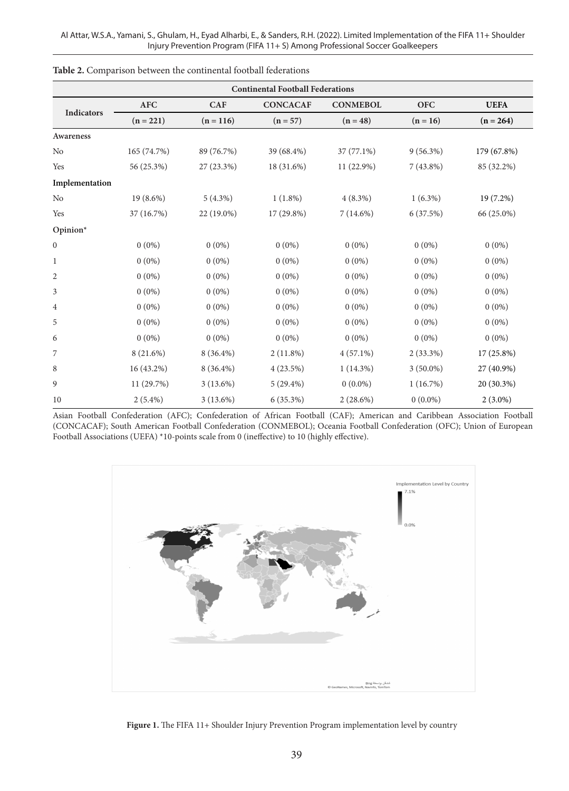| <b>Continental Football Federations</b> |             |             |                 |                 |             |             |  |  |
|-----------------------------------------|-------------|-------------|-----------------|-----------------|-------------|-------------|--|--|
| Indicators                              | <b>AFC</b>  | <b>CAF</b>  | <b>CONCACAF</b> | <b>CONMEBOL</b> | <b>OFC</b>  | <b>UEFA</b> |  |  |
|                                         | $(n = 221)$ | $(n = 116)$ | $(n = 57)$      | $(n = 48)$      | $(n = 16)$  | $(n = 264)$ |  |  |
| Awareness                               |             |             |                 |                 |             |             |  |  |
| No                                      | 165 (74.7%) | 89 (76.7%)  | 39 (68.4%)      | $37(77.1\%)$    | $9(56.3\%)$ | 179 (67.8%) |  |  |
| Yes                                     | 56 (25.3%)  | 27 (23.3%)  | 18 (31.6%)      | 11 (22.9%)      | $7(43.8\%)$ | 85 (32.2%)  |  |  |
| Implementation                          |             |             |                 |                 |             |             |  |  |
| No                                      | 19 (8.6%)   | $5(4.3\%)$  | $1(1.8\%)$      | $4(8.3\%)$      | $1(6.3\%)$  | 19 (7.2%)   |  |  |
| Yes                                     | 37 (16.7%)  | 22 (19.0%)  | 17 (29.8%)      | $7(14.6\%)$     | 6(37.5%)    | 66 (25.0%)  |  |  |
| Opinion*                                |             |             |                 |                 |             |             |  |  |
| $\boldsymbol{0}$                        | $0(0\%)$    | $0(0\%)$    | $0(0\%)$        | $0(0\%)$        | $0(0\%)$    | $0(0\%)$    |  |  |
| $\mathbf{1}$                            | $0(0\%)$    | $0(0\%)$    | $0(0\%)$        | $0(0\%)$        | $0(0\%)$    | $0(0\%)$    |  |  |
| 2                                       | $0(0\%)$    | $0(0\%)$    | $0(0\%)$        | $0(0\%)$        | $0(0\%)$    | $0(0\%)$    |  |  |
| 3                                       | $0(0\%)$    | $0(0\%)$    | $0(0\%)$        | $0(0\%)$        | $0(0\%)$    | $0(0\%)$    |  |  |
| $\overline{4}$                          | $0(0\%)$    | $0(0\%)$    | $0(0\%)$        | $0(0\%)$        | $0(0\%)$    | $0(0\%)$    |  |  |
| 5                                       | $0(0\%)$    | $0(0\%)$    | $0(0\%)$        | $0(0\%)$        | $0(0\%)$    | $0(0\%)$    |  |  |
| 6                                       | $0(0\%)$    | $0(0\%)$    | $0(0\%)$        | $0(0\%)$        | $0(0\%)$    | $0(0\%)$    |  |  |
| 7                                       | 8 (21.6%)   | $8(36.4\%)$ | $2(11.8\%)$     | $4(57.1\%)$     | $2(33.3\%)$ | 17 (25.8%)  |  |  |
| 8                                       | 16 (43.2%)  | $8(36.4\%)$ | 4(23.5%)        | $1(14.3\%)$     | $3(50.0\%)$ | 27 (40.9%)  |  |  |
| 9                                       | 11 (29.7%)  | $3(13.6\%)$ | $5(29.4\%)$     | $0(0.0\%)$      | 1(16.7%)    | 20 (30.3%)  |  |  |
| 10                                      | $2(5.4\%)$  | $3(13.6\%)$ | 6(35.3%)        | $2(28.6\%)$     | $0(0.0\%)$  | $2(3.0\%)$  |  |  |

| Table 2. Comparison between the continental football federations |  |
|------------------------------------------------------------------|--|
|------------------------------------------------------------------|--|

Asian Football Confederation (AFC); Confederation of African Football (CAF); American and Caribbean Association Football (CONCACAF); South American Football Confederation (CONMEBOL); Oceania Football Confederation (OFC); Union of European Football Associations (UEFA) \*10-points scale from 0 (ineffective) to 10 (highly effective).



Figure 1. The FIFA 11+ Shoulder Injury Prevention Program implementation level by country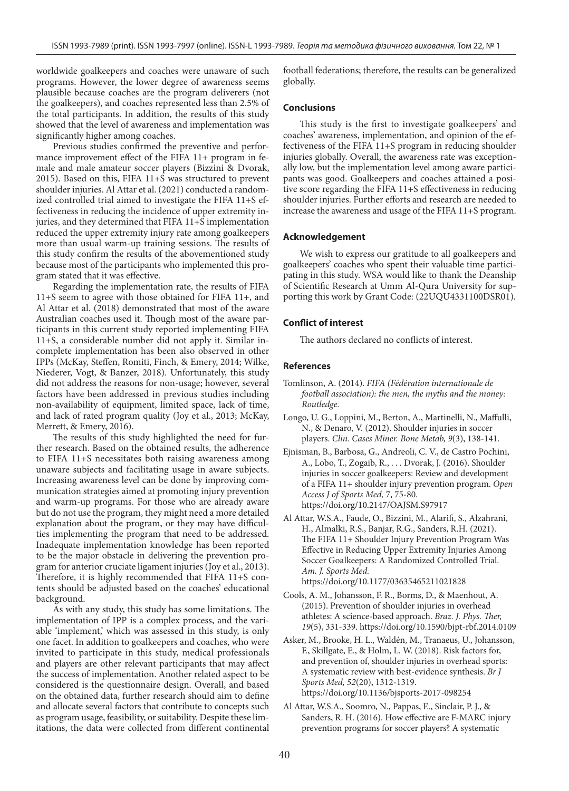worldwide goalkeepers and coaches were unaware of such programs. However, the lower degree of awareness seems plausible because coaches are the program deliverers (not the goalkeepers), and coaches represented less than 2.5% of the total participants. In addition, the results of this study showed that the level of awareness and implementation was significantly higher among coaches.

Previous studies confirmed the preventive and performance improvement effect of the FIFA 11+ program in female and male amateur soccer players (Bizzini & Dvorak, 2015). Based on this, FIFA 11+S was structured to prevent shoulder injuries. Al Attar et al. (2021) conducted a randomized controlled trial aimed to investigate the FIFA 11+S effectiveness in reducing the incidence of upper extremity injuries, and they determined that FIFA 11+S implementation reduced the upper extremity injury rate among goalkeepers more than usual warm-up training sessions. The results of this study confirm the results of the abovementioned study because most of the participants who implemented this program stated that it was effective.

Regarding the implementation rate, the results of FIFA 11+S seem to agree with those obtained for FIFA 11+, and Al Attar et al. (2018) demonstrated that most of the aware Australian coaches used it. Though most of the aware participants in this current study reported implementing FIFA 11+S, a considerable number did not apply it. Similar incomplete implementation has been also observed in other IPPs (McKay, Steffen, Romiti, Finch, & Emery, 2014; Wilke, Niederer, Vogt, & Banzer, 2018). Unfortunately, this study did not address the reasons for non-usage; however, several factors have been addressed in previous studies including non-availability of equipment, limited space, lack of time, and lack of rated program quality (Joy et al., 2013; McKay, Merrett, & Emery, 2016).

The results of this study highlighted the need for further research. Based on the obtained results, the adherence to FIFA 11+S necessitates both raising awareness among unaware subjects and facilitating usage in aware subjects. Increasing awareness level can be done by improving communication strategies aimed at promoting injury prevention and warm-up programs. For those who are already aware but do not use the program, they might need a more detailed explanation about the program, or they may have difficulties implementing the program that need to be addressed. Inadequate implementation knowledge has been reported to be the major obstacle in delivering the prevention program for anterior cruciate ligament injuries (Joy et al., 2013). Therefore, it is highly recommended that FIFA 11+S contents should be adjusted based on the coaches' educational background.

As with any study, this study has some limitations. The implementation of IPP is a complex process, and the variable 'implement,' which was assessed in this study, is only one facet. In addition to goalkeepers and coaches, who were invited to participate in this study, medical professionals and players are other relevant participants that may affect the success of implementation. Another related aspect to be considered is the questionnaire design. Overall, and based on the obtained data, further research should aim to define and allocate several factors that contribute to concepts such as program usage, feasibility, or suitability. Despite these limitations, the data were collected from different continental

football federations; therefore, the results can be generalized globally.

#### **Conclusions**

This study is the first to investigate goalkeepers' and coaches' awareness, implementation, and opinion of the effectiveness of the FIFA 11+S program in reducing shoulder injuries globally. Overall, the awareness rate was exceptionally low, but the implementation level among aware participants was good. Goalkeepers and coaches attained a positive score regarding the FIFA 11+S effectiveness in reducing shoulder injuries. Further efforts and research are needed to increase the awareness and usage of the FIFA 11+S program.

#### **Acknowledgement**

We wish to express our gratitude to all goalkeepers and goalkeepers' coaches who spent their valuable time participating in this study. WSA would like to thank the Deanship of Scientific Research at Umm Al-Qura University for supporting this work by Grant Code: (22UQU4331100DSR01).

#### **Conflict of interest**

The authors declared no conflicts of interest.

#### **References**

- Tomlinson, A. (2014). *FIFA (Fédération internationale de football association): the men, the myths and the money: Routledge.*
- Longo, U. G., Loppini, M., Berton, A., Martinelli, N., Maffulli, N., & Denaro, V. (2012). Shoulder injuries in soccer players. *Clin. Cases Miner. Bone Metab, 9*(3), 138-141.
- Ejnisman, B., Barbosa, G., Andreoli, C. V., de Castro Pochini, A., Lobo, T., Zogaib, R., . . . Dvorak, J. (2016). Shoulder injuries in soccer goalkeepers: Review and development of a FIFA 11+ shoulder injury prevention program. *Open Access J of Sports Med,* 7, 75-80. https://doi.org/10.2147/OAJSM.S97917
- Al Attar, W.S.A., Faude, O., Bizzini, M., Alarifi, S., Alzahrani, H., Almalki, R.S., Banjar, R.G., Sanders, R.H. (2021). The FIFA 11+ Shoulder Injury Prevention Program Was Effective in Reducing Upper Extremity Injuries Among Soccer Goalkeepers: A Randomized Controlled Trial. *Am. J. Sports Med.* https://doi.org/10.1177/03635465211021828
- Cools, A. M., Johansson, F. R., Borms, D., & Maenhout, A. (2015). Prevention of shoulder injuries in overhead athletes: A science-based approach. *Braz. J. Phys. Ther, 19*(5), 331-339. https://doi.org/10.1590/bjpt-rbf.2014.0109
- Asker, M., Brooke, H. L., Waldén, M., Tranaeus, U., Johansson, F., Skillgate, E., & Holm, L. W. (2018). Risk factors for, and prevention of, shoulder injuries in overhead sports: A systematic review with best-evidence synthesis. *Br J Sports Med, 52*(20), 1312-1319. https://doi.org/10.1136/bjsports-2017-098254
- Al Attar, W.S.A., Soomro, N., Pappas, E., Sinclair, P. J., & Sanders, R. H. (2016). How effective are F-MARC injury prevention programs for soccer players? A systematic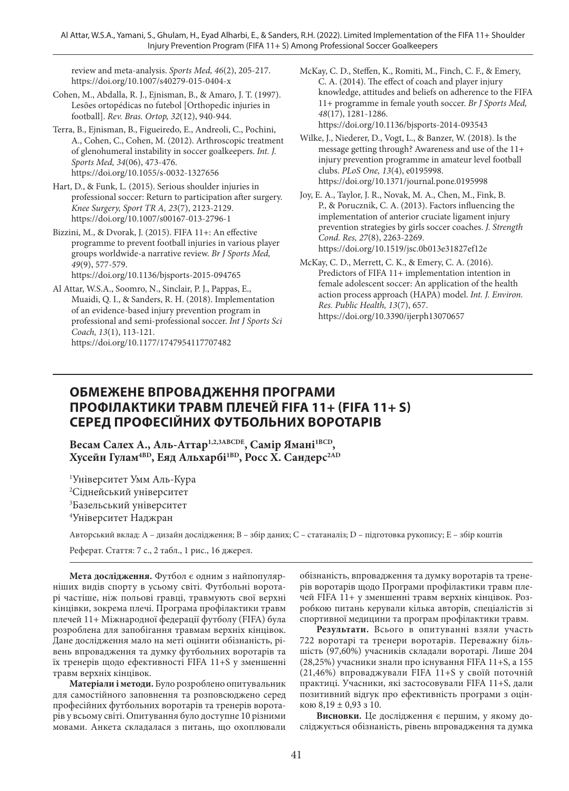review and meta-analysis. *Sports Med, 46*(2), 205-217. https://doi.org/10.1007/s40279-015-0404-x

- Cohen, M., Abdalla, R. J., Ejnisman, B., & Amaro, J. T. (1997). Lesões ortopédicas no futebol [Orthopedic injuries in football]. *Rev. Bras. Ortop, 32*(12), 940-944.
- Terra, B., Ejnisman, B., Figueiredo, E., Andreoli, C., Pochini, A., Cohen, C., Cohen, M. (2012). Arthroscopic treatment of glenohumeral instability in soccer goalkeepers. *Int. J. Sports Med, 34*(06), 473-476. https://doi.org/10.1055/s-0032-1327656
- Hart, D., & Funk, L. (2015). Serious shoulder injuries in professional soccer: Return to participation after surgery. *Knee Surgery, Sport TR A, 23*(7), 2123-2129. https://doi.org/10.1007/s00167-013-2796-1
- Bizzini, M., & Dvorak, J. (2015). FIFA 11+: An effective programme to prevent football injuries in various player groups worldwide-a narrative review. *Br J Sports Med, 49*(9), 577-579.

https://doi.org/10.1136/bjsports-2015-094765

Al Attar, W.S.A., Soomro, N., Sinclair, P. J., Pappas, E., Muaidi, Q. I., & Sanders, R. H. (2018). Implementation of an evidence-based injury prevention program in professional and semi-professional soccer. *Int J Sports Sci Coach, 13*(1), 113-121. https://doi.org/10.1177/1747954117707482

- McKay, C. D., Steffen, K., Romiti, M., Finch, C. F., & Emery, C. A. (2014). The effect of coach and player injury knowledge, attitudes and beliefs on adherence to the FIFA 11+ programme in female youth soccer. *Br J Sports Med, 48*(17), 1281-1286. https://doi.org/10.1136/bjsports-2014-093543
- Wilke, J., Niederer, D., Vogt, L., & Banzer, W. (2018). Is the message getting through? Awareness and use of the 11+ injury prevention programme in amateur level football clubs. *PLoS One, 13*(4), e0195998. https://doi.org/10.1371/journal.pone.0195998
- Joy, E. A., Taylor, J. R., Novak, M. A., Chen, M., Fink, B. P., & Porucznik, C. A. (2013). Factors influencing the implementation of anterior cruciate ligament injury prevention strategies by girls soccer coaches. *J. Strength Cond. Res, 27*(8), 2263-2269. https://doi.org/10.1519/jsc.0b013e31827ef12e
- McKay, C. D., Merrett, C. K., & Emery, C. A. (2016). Predictors of FIFA 11+ implementation intention in female adolescent soccer: An application of the health action process approach (HAPA) model. *Int. J. Environ. Res. Public Health, 13*(7), 657. https://doi.org/10.3390/ijerph13070657

# **ОБМЕЖЕНЕ ВПРОВАДЖЕННЯ ПРОГРАМИ ПРОФІЛАКТИКИ ТРАВМ ПЛЕЧЕЙ FIFA 11+ (FIFA 11+ S) СЕРЕД ПРОФЕСІЙНИХ ФУТБОЛЬНИХ ВОРОТАРІВ**

Весам Салех А., Аль-Аттар<sup>1,2,3ABCDE</sup>, Самір Ямані<sup>1BCD</sup>, **Хусейн Гулам4BD, Еяд Альхарбі1BD, Росс Х. Сандерс2AD**

 Університет Умм Аль-Кура <sup>2</sup>Сіднейський університет Базельський університет Університет Наджран

Авторський вклад: A – дизайн дослідження; B – збір даних; C – статаналіз; D – підготовка рукопису; E – збір коштів

Реферат. Стаття: 7 с., 2 табл., 1 рис., 16 джерел.

**Мета дослідження.** Футбол є одним з найпопулярніших видів спорту в усьому світі. Футбольні воротарі частіше, ніж польові гравці, травмують свої верхні кінцівки, зокрема плечі. Програма профілактики травм плечей 11+ Міжнародної федерації футболу (FIFA) була розроблена для запобігання травмам верхніх кінцівок. Дане дослідження мало на меті оцінити обізнаність, рівень впровадження та думку футбольних воротарів та їх тренерів щодо ефективності FIFA 11+S у зменшенні травм верхніх кінцівок.

**Матеріали і методи.** Було розроблено опитувальник для самостійного заповнення та розповсюджено серед професійних футбольних воротарів та тренерів воротарів у всьому світі. Опитування було доступне 10 різними мовами. Анкета складалася з питань, що охоплювали обізнаність, впровадження та думку воротарів та тренерів воротарів щодо Програми профілактики травм плечей FIFA 11+ у зменшенні травм верхніх кінцівок. Розробкою питань керували кілька авторів, спеціалістів зі спортивної медицини та програм профілактики травм.

**Результати.** Всього в опитуванні взяли участь 722 воротарі та тренери воротарів. Переважну більшість (97,60%) учасників складали воротарі. Лише 204 (28,25%) учасники знали про існування FIFA 11+S, а 155 (21,46%) впроваджували FIFA 11+S у своїй поточній практиці. Учасники, які застосовували FIFA 11+S, дали позитивний відгук про ефективність програми з оцінкою 8,19 ± 0,93 з 10.

**Висновки.** Це дослідження є першим, у якому досліджується обізнаність, рівень впровадження та думка